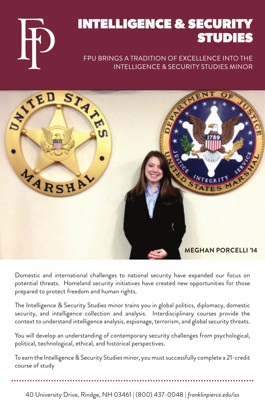## INTELLIGENCE & SECURITY STUDIES

### FPU BRINGS A TRADITION OF EXCELLENCE INTO THE INTELLIGENCE & SECURITY STUDIES MINOR



Domestic and international challenges to national security have expanded our focus on potential threats. Homeland security initiatives have created new opportunities for those prepared to protect freedom and human rights.

The Intelligence & Security Studies minor trains you in global politics, diplomacy, domestic security, and intelligence collection and analysis. Interdisciplinary courses provide the context to understand intelligence analysis, espionage, terrorism, and global security threats.

You will develop an understanding of contemporary security challenges from psychological, political, technological, ethical, and historical perspectives.

To earn the Intelligence & Security Studies minor, you must successfully complete a 21-credit course of study

40 University Drive, Rindge, NH 03461 | (800) 437-0048 | *franklinpierce.edu/iss*